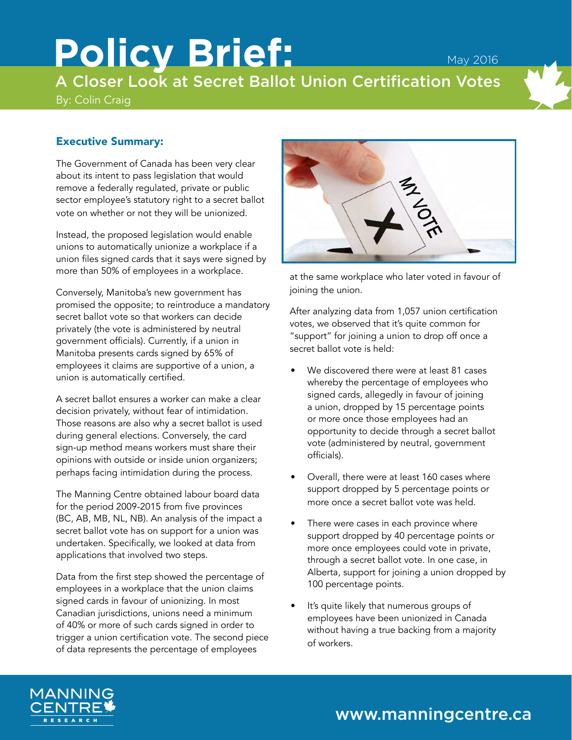# Policy Brief: May 2016 A Closer Look at Secret Ballot Union Certification Votes

By: Colin Craig

# Executive Summary:

The Government of Canada has been very clear about its intent to pass legislation that would remove a federally regulated, private or public sector employee's statutory right to a secret ballot vote on whether or not they will be unionized.

Instead, the proposed legislation would enable unions to automatically unionize a workplace if a union files signed cards that it says were signed by more than 50% of employees in a workplace.

Conversely, Manitoba's new government has promised the opposite; to reintroduce a mandatory secret ballot vote so that workers can decide privately (the vote is administered by neutral government officials). Currently, if a union in Manitoba presents cards signed by 65% of employees it claims are supportive of a union, a union is automatically certified.

A secret ballot ensures a worker can make a clear decision privately, without fear of intimidation. Those reasons are also why a secret ballot is used during general elections. Conversely, the card sign-up method means workers must share their opinions with outside or inside union organizers; perhaps facing intimidation during the process.

The Manning Centre obtained labour board data for the period 2009-2015 from five provinces (BC, AB, MB, NL, NB). An analysis of the impact a secret ballot vote has on support for a union was undertaken. Specifically, we looked at data from applications that involved two steps.

Data from the first step showed the percentage of employees in a workplace that the union claims signed cards in favour of unionizing. In most Canadian jurisdictions, unions need a minimum of 40% or more of such cards signed in order to trigger a union certification vote. The second piece of data represents the percentage of employees



at the same workplace who later voted in favour of joining the union.

After analyzing data from 1,057 union certification votes, we observed that it's quite common for "support" for joining a union to drop off once a secret ballot vote is held:

- We discovered there were at least 81 cases whereby the percentage of employees who signed cards, allegedly in favour of joining a union, dropped by 15 percentage points or more once those employees had an opportunity to decide through a secret ballot vote (administered by neutral, government officials).
- Overall, there were at least 160 cases where support dropped by 5 percentage points or more once a secret ballot vote was held.
- There were cases in each province where support dropped by 40 percentage points or more once employees could vote in private, through a secret ballot vote. In one case, in Alberta, support for joining a union dropped by 100 percentage points.
- It's quite likely that numerous groups of employees have been unionized in Canada without having a true backing from a majority of workers.



# www.manningcentre.ca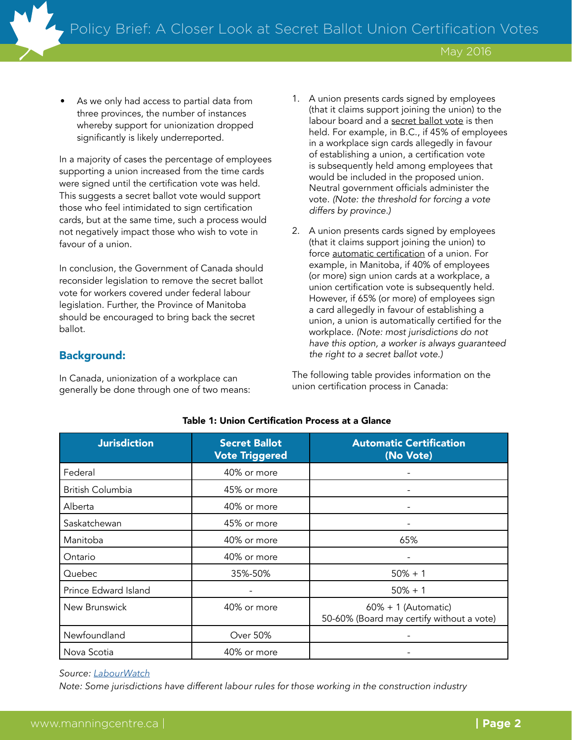As we only had access to partial data from three provinces, the number of instances whereby support for unionization dropped significantly is likely underreported.

In a majority of cases the percentage of employees supporting a union increased from the time cards were signed until the certification vote was held. This suggests a secret ballot vote would support those who feel intimidated to sign certification cards, but at the same time, such a process would not negatively impact those who wish to vote in favour of a union.

In conclusion, the Government of Canada should reconsider legislation to remove the secret ballot vote for workers covered under federal labour legislation. Further, the Province of Manitoba should be encouraged to bring back the secret ballot.

## Background:

In Canada, unionization of a workplace can generally be done through one of two means:

- 1. A union presents cards signed by employees (that it claims support joining the union) to the labour board and a secret ballot vote is then held. For example, in B.C., if 45% of employees in a workplace sign cards allegedly in favour of establishing a union, a certification vote is subsequently held among employees that would be included in the proposed union. Neutral government officials administer the vote. *(Note: the threshold for forcing a vote differs by province.)*
- 2. A union presents cards signed by employees (that it claims support joining the union) to force automatic certification of a union. For example, in Manitoba, if 40% of employees (or more) sign union cards at a workplace, a union certification vote is subsequently held. However, if 65% (or more) of employees sign a card allegedly in favour of establishing a union, a union is automatically certified for the workplace. *(Note: most jurisdictions do not have this option, a worker is always guaranteed the right to a secret ballot vote.)*

The following table provides information on the union certification process in Canada:

| <b>Jurisdiction</b>     | <b>Secret Ballot</b><br><b>Vote Triggered</b> | <b>Automatic Certification</b><br>(No Vote)                         |
|-------------------------|-----------------------------------------------|---------------------------------------------------------------------|
| Federal                 | 40% or more                                   |                                                                     |
| <b>British Columbia</b> | 45% or more                                   |                                                                     |
| Alberta                 | 40% or more                                   |                                                                     |
| Saskatchewan            | 45% or more                                   |                                                                     |
| Manitoba                | 40% or more                                   | 65%                                                                 |
| Ontario                 | 40% or more                                   |                                                                     |
| Quebec                  | 35%-50%                                       | $50% + 1$                                                           |
| Prince Edward Island    |                                               | $50\% + 1$                                                          |
| New Brunswick           | 40% or more                                   | $60\% + 1$ (Automatic)<br>50-60% (Board may certify without a vote) |
| Newfoundland            | <b>Over 50%</b>                               |                                                                     |
| Nova Scotia             | 40% or more                                   |                                                                     |

#### Table 1: Union Certification Process at a Glance

*Source: [LabourWatch](http://www.labourwatch.com/docs/forms/charts/Cert%20Decert%20Chart%20Full%20Form%20-%202015%207%202%20330%20pm%20PT.pdf)*

*Note: Some jurisdictions have different labour rules for those working in the construction industry*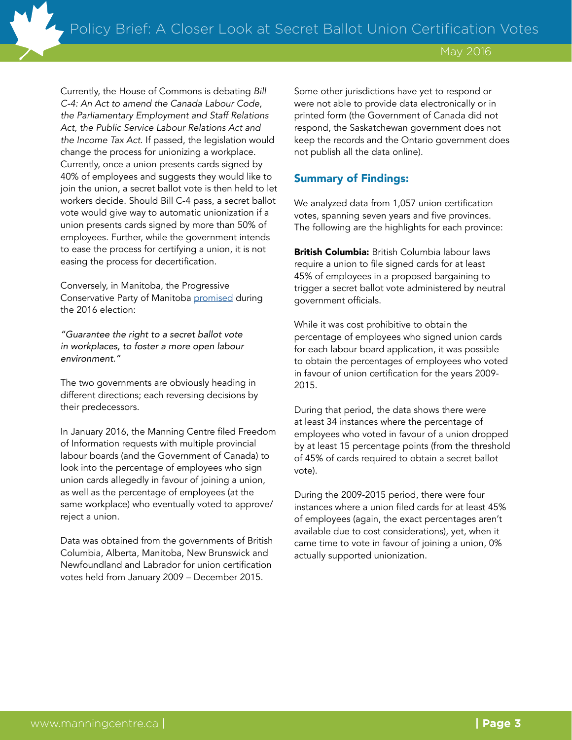Currently, the House of Commons is debating *Bill C-4: An Act to amend the Canada Labour Code, the Parliamentary Employment and Staff Relations Act, the Public Service Labour Relations Act and the Income Tax Act*. If passed, the legislation would change the process for unionizing a workplace. Currently, once a union presents cards signed by 40% of employees and suggests they would like to join the union, a secret ballot vote is then held to let workers decide. Should Bill C-4 pass, a secret ballot vote would give way to automatic unionization if a union presents cards signed by more than 50% of employees. Further, while the government intends to ease the process for certifying a union, it is not easing the process for decertification.

Conversely, in Manitoba, the Progressive Conservative Party of Manitoba [promised](http://www.pcmanitoba.com/platform) during the 2016 election:

*"Guarantee the right to a secret ballot vote in workplaces, to foster a more open labour environment."*

The two governments are obviously heading in different directions; each reversing decisions by their predecessors.

In January 2016, the Manning Centre filed Freedom of Information requests with multiple provincial labour boards (and the Government of Canada) to look into the percentage of employees who sign union cards allegedly in favour of joining a union, as well as the percentage of employees (at the same workplace) who eventually voted to approve/ reject a union.

Data was obtained from the governments of British Columbia, Alberta, Manitoba, New Brunswick and Newfoundland and Labrador for union certification votes held from January 2009 – December 2015.

Some other jurisdictions have yet to respond or were not able to provide data electronically or in printed form (the Government of Canada did not respond, the Saskatchewan government does not keep the records and the Ontario government does not publish all the data online).

### Summary of Findings:

We analyzed data from 1,057 union certification votes, spanning seven years and five provinces. The following are the highlights for each province:

British Columbia: British Columbia labour laws require a union to file signed cards for at least 45% of employees in a proposed bargaining to trigger a secret ballot vote administered by neutral government officials.

While it was cost prohibitive to obtain the percentage of employees who signed union cards for each labour board application, it was possible to obtain the percentages of employees who voted in favour of union certification for the years 2009- 2015.

During that period, the data shows there were at least 34 instances where the percentage of employees who voted in favour of a union dropped by at least 15 percentage points (from the threshold of 45% of cards required to obtain a secret ballot vote).

During the 2009-2015 period, there were four instances where a union filed cards for at least 45% of employees (again, the exact percentages aren't available due to cost considerations), yet, when it came time to vote in favour of joining a union, 0% actually supported unionization.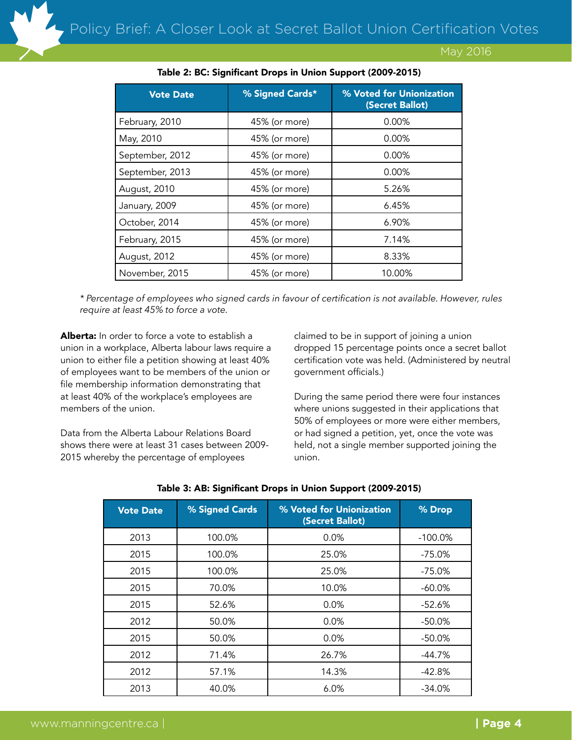| <b>Vote Date</b> | % Signed Cards* | % Voted for Unionization<br>(Secret Ballot) |
|------------------|-----------------|---------------------------------------------|
| February, 2010   | 45% (or more)   | $0.00\%$                                    |
| May, 2010        | 45% (or more)   | $0.00\%$                                    |
| September, 2012  | 45% (or more)   | $0.00\%$                                    |
| September, 2013  | 45% (or more)   | $0.00\%$                                    |
| August, 2010     | 45% (or more)   | 5.26%                                       |
| January, 2009    | 45% (or more)   | 6.45%                                       |
| October, 2014    | 45% (or more)   | 6.90%                                       |
| February, 2015   | 45% (or more)   | 7.14%                                       |
| August, 2012     | 45% (or more)   | 8.33%                                       |
| November, 2015   | 45% (or more)   | 10.00%                                      |

#### Table 2: BC: Significant Drops in Union Support (2009-2015)

*\* Percentage of employees who signed cards in favour of certification is not available. However, rules require at least 45% to force a vote.*

Alberta: In order to force a vote to establish a union in a workplace, Alberta labour laws require a union to either file a petition showing at least 40% of employees want to be members of the union or file membership information demonstrating that at least 40% of the workplace's employees are members of the union.

Data from the Alberta Labour Relations Board shows there were at least 31 cases between 2009- 2015 whereby the percentage of employees

claimed to be in support of joining a union dropped 15 percentage points once a secret ballot certification vote was held. (Administered by neutral government officials.)

During the same period there were four instances where unions suggested in their applications that 50% of employees or more were either members, or had signed a petition, yet, once the vote was held, not a single member supported joining the union.

| <b>Vote Date</b> | % Signed Cards | % Voted for Unionization<br>(Secret Ballot) | % Drop     |
|------------------|----------------|---------------------------------------------|------------|
| 2013             | 100.0%         | 0.0%                                        | $-100.0\%$ |
| 2015             | 100.0%         | 25.0%                                       | -75.0%     |
| 2015             | 100.0%         | 25.0%                                       | -75.0%     |
| 2015             | 70.0%          | 10.0%                                       | -60.0%     |
| 2015             | 52.6%          | 0.0%                                        | $-52.6%$   |
| 2012             | 50.0%          | 0.0%                                        | -50.0%     |
| 2015             | 50.0%          | 0.0%                                        | -50.0%     |
| 2012             | 71.4%          | 26.7%                                       | -44.7%     |
| 2012             | 57.1%          | 14.3%                                       | $-42.8%$   |
| 2013             | 40.0%          | 6.0%                                        | $-34.0\%$  |

#### Table 3: AB: Significant Drops in Union Support (2009-2015)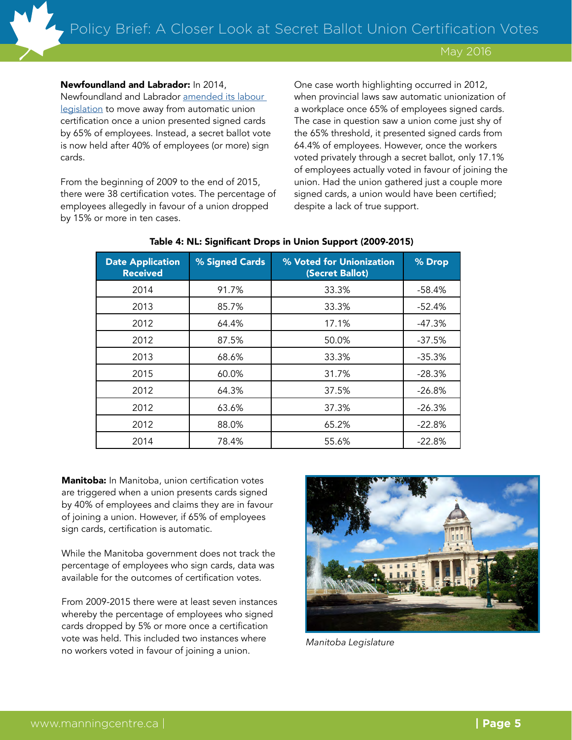#### Newfoundland and Labrador: In 2014,

Newfoundland and Labrador [amended its labour](http://www.coxandpalmerlaw.com/en/home/publications/newfoundland-and-labrador-amendments-to-the-labour.aspx)  [legislation](http://www.coxandpalmerlaw.com/en/home/publications/newfoundland-and-labrador-amendments-to-the-labour.aspx) to move away from automatic union certification once a union presented signed cards by 65% of employees. Instead, a secret ballot vote is now held after 40% of employees (or more) sign cards.

From the beginning of 2009 to the end of 2015, there were 38 certification votes. The percentage of employees allegedly in favour of a union dropped by 15% or more in ten cases.

One case worth highlighting occurred in 2012, when provincial laws saw automatic unionization of a workplace once 65% of employees signed cards. The case in question saw a union come just shy of the 65% threshold, it presented signed cards from 64.4% of employees. However, once the workers voted privately through a secret ballot, only 17.1% of employees actually voted in favour of joining the union. Had the union gathered just a couple more signed cards, a union would have been certified; despite a lack of true support.

| <b>Date Application</b><br><b>Received</b> | % Signed Cards | % Voted for Unionization<br>(Secret Ballot) | % Drop   |
|--------------------------------------------|----------------|---------------------------------------------|----------|
| 2014                                       | 91.7%          | 33.3%                                       | $-58.4%$ |
| 2013                                       | 85.7%          | 33.3%                                       | $-52.4%$ |
| 2012                                       | 64.4%          | 17.1%                                       | $-47.3%$ |
| 2012                                       | 87.5%          | 50.0%                                       | $-37.5%$ |
| 2013                                       | 68.6%          | 33.3%                                       | $-35.3%$ |
| 2015                                       | 60.0%          | 31.7%                                       | $-28.3%$ |
| 2012                                       | 64.3%          | 37.5%                                       | $-26.8%$ |
| 2012                                       | 63.6%          | 37.3%                                       | $-26.3%$ |
| 2012                                       | 88.0%          | 65.2%                                       | $-22.8%$ |
| 2014                                       | 78.4%          | 55.6%                                       | $-22.8%$ |

#### Table 4: NL: Significant Drops in Union Support (2009-2015)

Manitoba: In Manitoba, union certification votes are triggered when a union presents cards signed by 40% of employees and claims they are in favour of joining a union. However, if 65% of employees sign cards, certification is automatic.

While the Manitoba government does not track the percentage of employees who sign cards, data was available for the outcomes of certification votes.

From 2009-2015 there were at least seven instances whereby the percentage of employees who signed cards dropped by 5% or more once a certification vote was held. This included two instances where no workers voted in favour of joining a union. *Manitoba Legislature*

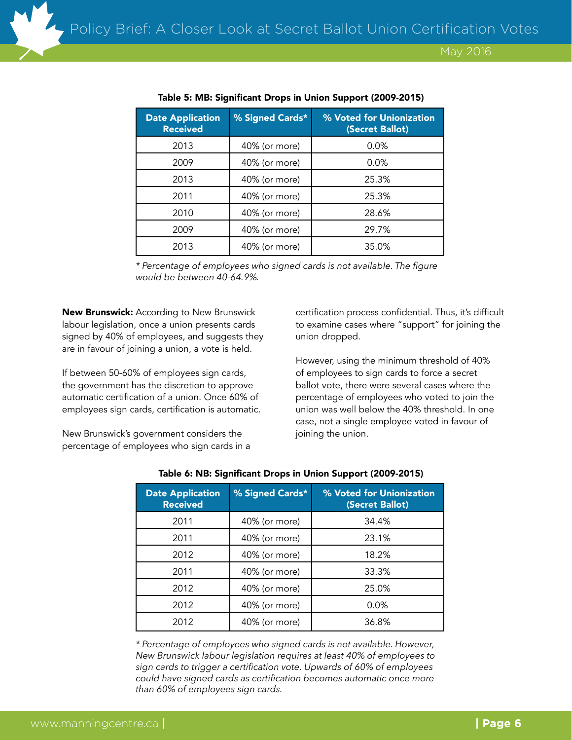| <b>Date Application</b><br><b>Received</b> | % Signed Cards* | % Voted for Unionization<br>(Secret Ballot) |
|--------------------------------------------|-----------------|---------------------------------------------|
| 2013                                       | 40% (or more)   | 0.0%                                        |
| 2009                                       | 40% (or more)   | 0.0%                                        |
| 2013                                       | 40% (or more)   | 25.3%                                       |
| 2011                                       | 40% (or more)   | 25.3%                                       |
| 2010                                       | 40% (or more)   | 28.6%                                       |
| 2009                                       | 40% (or more)   | 29.7%                                       |
| 2013                                       | 40% (or more)   | 35.0%                                       |

#### Table 5: MB: Significant Drops in Union Support (2009-2015)

*\* Percentage of employees who signed cards is not available. The figure would be between 40-64.9%.*

**New Brunswick:** According to New Brunswick labour legislation, once a union presents cards signed by 40% of employees, and suggests they are in favour of joining a union, a vote is held.

If between 50-60% of employees sign cards, the government has the discretion to approve automatic certification of a union. Once 60% of employees sign cards, certification is automatic.

New Brunswick's government considers the percentage of employees who sign cards in a certification process confidential. Thus, it's difficult to examine cases where "support" for joining the union dropped.

However, using the minimum threshold of 40% of employees to sign cards to force a secret ballot vote, there were several cases where the percentage of employees who voted to join the union was well below the 40% threshold. In one case, not a single employee voted in favour of joining the union.

| <b>Date Application</b><br><b>Received</b> | % Signed Cards* | % Voted for Unionization<br>(Secret Ballot) |
|--------------------------------------------|-----------------|---------------------------------------------|
| 2011                                       | 40% (or more)   | 34.4%                                       |
| 2011                                       | 40% (or more)   | 23.1%                                       |
| 2012                                       | 40% (or more)   | 18.2%                                       |
| 2011                                       | 40% (or more)   | 33.3%                                       |
| 2012                                       | 40% (or more)   | 25.0%                                       |
| 2012                                       | 40% (or more)   | 0.0%                                        |
| 2012                                       | 40% (or more)   | 36.8%                                       |

#### Table 6: NB: Significant Drops in Union Support (2009-2015)

*\* Percentage of employees who signed cards is not available. However, New Brunswick labour legislation requires at least 40% of employees to sign cards to trigger a certification vote. Upwards of 60% of employees could have signed cards as certification becomes automatic once more than 60% of employees sign cards.*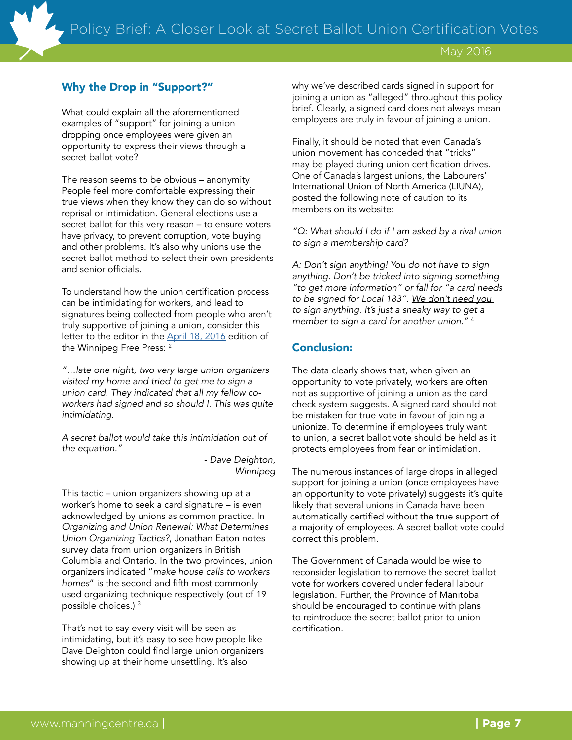# Why the Drop in "Support?"

What could explain all the aforementioned examples of "support" for joining a union dropping once employees were given an opportunity to express their views through a secret ballot vote?

The reason seems to be obvious – anonymity. People feel more comfortable expressing their true views when they know they can do so without reprisal or intimidation. General elections use a secret ballot for this very reason – to ensure voters have privacy, to prevent corruption, vote buying and other problems. It's also why unions use the secret ballot method to select their own presidents and senior officials.

To understand how the union certification process can be intimidating for workers, and lead to signatures being collected from people who aren't truly supportive of joining a union, consider this letter to the editor in the [April 18, 2016](http://www.winnipegfreepress.com/opinion/letters_to_the_editor/letters-and-comments-376024911.html) edition of the Winnipeg Free Press: 2

*"…late one night, two very large union organizers visited my home and tried to get me to sign a union card. They indicated that all my fellow coworkers had signed and so should I. This was quite intimidating.*

*A secret ballot would take this intimidation out of the equation."*

*- Dave Deighton, Winnipeg*

This tactic – union organizers showing up at a worker's home to seek a card signature – is even acknowledged by unions as common practice. In *Organizing and Union Renewal: What Determines Union Organizing Tactics?*, Jonathan Eaton notes survey data from union organizers in British Columbia and Ontario. In the two provinces, union organizers indicated "*make house calls to workers homes*" is the second and fifth most commonly used organizing technique respectively (out of 19 possible choices.) <sup>3</sup>

That's not to say every visit will be seen as intimidating, but it's easy to see how people like Dave Deighton could find large union organizers showing up at their home unsettling. It's also

why we've described cards signed in support for joining a union as "alleged" throughout this policy brief. Clearly, a signed card does not always mean employees are truly in favour of joining a union.

Finally, it should be noted that even Canada's union movement has conceded that "tricks" may be played during union certification drives. One of Canada's largest unions, the Labourers' International Union of North America (LIUNA), posted the following note of caution to its members on its website:

*"Q: What should I do if I am asked by a rival union to sign a membership card?*

*A: Don't sign anything! You do not have to sign anything. Don't be tricked into signing something "to get more information" or fall for "a card needs to be signed for Local 183". We don't need you to sign anything. It's just a sneaky way to get a member to sign a card for another union."* <sup>4</sup>

# Conclusion:

The data clearly shows that, when given an opportunity to vote privately, workers are often not as supportive of joining a union as the card check system suggests. A signed card should not be mistaken for true vote in favour of joining a unionize. To determine if employees truly want to union, a secret ballot vote should be held as it protects employees from fear or intimidation.

The numerous instances of large drops in alleged support for joining a union (once employees have an opportunity to vote privately) suggests it's quite likely that several unions in Canada have been automatically certified without the true support of a majority of employees. A secret ballot vote could correct this problem.

The Government of Canada would be wise to reconsider legislation to remove the secret ballot vote for workers covered under federal labour legislation. Further, the Province of Manitoba should be encouraged to continue with plans to reintroduce the secret ballot prior to union certification.